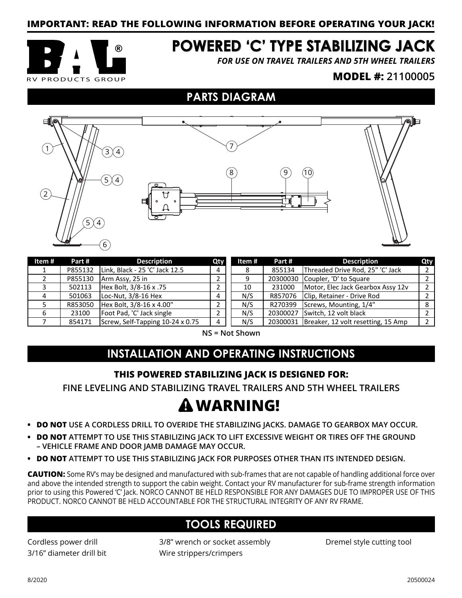#### **IMPORTANT: READ THE FOLLOWING INFORMATION BEFORE OPERATING YOUR JACK!**



# **POWERED 'C' TYPE STABILIZING JACK**

*FOR USE ON TRAVEL TRAILERS AND 5TH WHEEL TRAILERS*

#### **MODEL #: 21100005**

#### **PARTS DIAGRAM**



| ltem # | Part#   | <b>Description</b>                 |  |
|--------|---------|------------------------------------|--|
|        | P855132 | Link, Black - 25 'C' Jack 12.5     |  |
| 2      | P855130 | Arm Assy, 25 in                    |  |
| 3      | 502113  | Hex Bolt, 3/8-16 x .75             |  |
| 4      | 501063  | Loc-Nut, 3/8-16 Hex                |  |
| 5      | R853050 | Hex Bolt, 3/8-16 x 4.00"           |  |
| 6      | 23100   | Foot Pad, 'C' Jack single          |  |
|        | 854171  | $S$ crew Self-Tanning 10-24 x 0.75 |  |

| ltem # | Part #  | <b>Description</b>               | <b>Qty</b>     | Item # | Part #  | <b>Description</b>                          | Qty |
|--------|---------|----------------------------------|----------------|--------|---------|---------------------------------------------|-----|
|        | P855132 | Link, Black - 25 'C' Jack 12.5   | 4              | 8      | 855134  | Threaded Drive Rod, 25" 'C' Jack            |     |
|        | P855130 | Arm Assy, 25 in                  |                | 9      |         | 20300030 Coupler, 'D' to Square             |     |
|        | 502113  | Hex Bolt, 3/8-16 x .75           |                | 10     | 231000  | Motor, Elec Jack Gearbox Assy 12v           |     |
|        | 501063  | Loc-Nut, 3/8-16 Hex              |                | N/S    | R857076 | Clip, Retainer - Drive Rod                  |     |
|        | R853050 | Hex Bolt, 3/8-16 x 4.00"         |                | N/S    | R270399 | Screws, Mounting, 1/4"                      |     |
|        | 23100   | Foot Pad, 'C' Jack single        |                | N/S    |         | 20300027 Switch, 12 volt black              |     |
|        | 854171  | Screw, Self-Tapping 10-24 x 0.75 | $\overline{4}$ | N/S    |         | 20300031 Breaker, 12 volt resetting, 15 Amp |     |

**NS = Not Shown**

## **INSTALLATION AND OPERATING INSTRUCTIONS**

#### **THIS POWERED STABILIZING JACK IS DESIGNED FOR:**

**FINE LEVELING AND STABILIZING TRAVEL TRAILERS AND 5TH WHEEL TRAILERS**

# **WARNING!**

- **• DO NOT USE A CORDLESS DRILL TO OVERIDE THE STABILIZING JACKS. DAMAGE TO GEARBOX MAY OCCUR.**
- **• DO NOT ATTEMPT TO USE THIS STABILIZING JACK TO LIFT EXCESSIVE WEIGHT OR TIRES OFF THE GROUND – VEHICLE FRAME AND DOOR JAMB DAMAGE MAY OCCUR.**
- **• DO NOT ATTEMPT TO USE THIS STABILIZING JACK FOR PURPOSES OTHER THAN ITS INTENDED DESIGN.**

**CAUTION:** Some RV's may be designed and manufactured with sub-frames that are not capable of handling additional force over and above the intended strength to support the cabin weight. Contact your RV manufacturer for sub-frame strength information prior to using this Powered 'C' Jack. NORCO CANNOT BE HELD RESPONSIBLE FOR ANY DAMAGES DUE TO IMPROPER USE OF THIS PRODUCT. NORCO CANNOT BE HELD ACCOUNTABLE FOR THE STRUCTURAL INTEGRITY OF ANY RV FRAME.

# **TOOLS REQUIRED**

Cordless power drill 3/16" diameter drill bit 3/8" wrench or socket assembly Wire strippers/crimpers

Dremel style cutting tool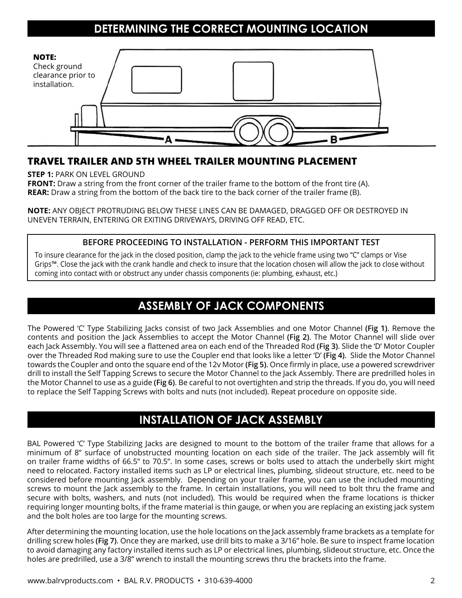## **DETERMINING THE CORRECT MOUNTING LOCATION**



#### **TRAVEL TRAILER AND 5TH WHEEL TRAILER MOUNTING PLACEMENT**

**STEP 1:** PARK ON LEVEL GROUND

**FRONT:** Draw a string from the front corner of the trailer frame to the bottom of the front tire (A). **REAR:** Draw a string from the bottom of the back tire to the back corner of the trailer frame (B).

**NOTE:** ANY OBJECT PROTRUDING BELOW THESE LINES CAN BE DAMAGED, DRAGGED OFF OR DESTROYED IN UNEVEN TERRAIN, ENTERING OR EXITING DRIVEWAYS, DRIVING OFF READ, ETC.

#### **BEFORE PROCEEDING TO INSTALLATION - PERFORM THIS IMPORTANT TEST**

To insure clearance for the jack in the closed position, clamp the jack to the vehicle frame using two "C" clamps or Vise Grips™. Close the jack with the crank handle and check to insure that the location chosen will allow the jack to close without coming into contact with or obstruct any under chassis components (ie: plumbing, exhaust, etc.)

### **ASSEMBLY OF JACK COMPONENTS**

The Powered 'C' Type Stabilizing Jacks consist of two Jack Assemblies and one Motor Channel **(Fig 1)**. Remove the contents and position the Jack Assemblies to accept the Motor Channel **(Fig 2)**. The Motor Channel will slide over each Jack Assembly. You will see a flattened area on each end of the Threaded Rod **(Fig 3)**. Slide the 'D' Motor Coupler over the Threaded Rod making sure to use the Coupler end that looks like a letter 'D' **(Fig 4)**. Slide the Motor Channel towards the Coupler and onto the square end of the 12v Motor **(Fig 5)**. Once firmly in place, use a powered screwdriver drill to install the Self Tapping Screws to secure the Motor Channel to the Jack Assembly. There are predrilled holes in the Motor Channel to use as a guide **(Fig 6)**. Be careful to not overtighten and strip the threads. If you do, you will need to replace the Self Tapping Screws with bolts and nuts (not included). Repeat procedure on opposite side.

### **INSTALLATION OF JACK ASSEMBLY**

BAL Powered 'C' Type Stabilizing Jacks are designed to mount to the bottom of the trailer frame that allows for a minimum of 8" surface of unobstructed mounting location on each side of the trailer. The Jack assembly will fit on trailer frame widths of 66.5" to 70.5". In some cases, screws or bolts used to attach the underbelly skirt might need to relocated. Factory installed items such as LP or electrical lines, plumbing, slideout structure, etc. need to be considered before mounting Jack assembly. Depending on your trailer frame, you can use the included mounting screws to mount the Jack assembly to the frame. In certain installations, you will need to bolt thru the frame and secure with bolts, washers, and nuts (not included). This would be required when the frame locations is thicker requiring longer mounting bolts, if the frame material is thin gauge, or when you are replacing an existing jack system and the bolt holes are too large for the mounting screws.

After determining the mounting location, use the hole locations on the Jack assembly frame brackets as a template for drilling screw holes **(Fig 7)**. Once they are marked, use drill bits to make a 3/16" hole. Be sure to inspect frame location to avoid damaging any factory installed items such as LP or electrical lines, plumbing, slideout structure, etc. Once the holes are predrilled, use a 3/8" wrench to install the mounting screws thru the brackets into the frame.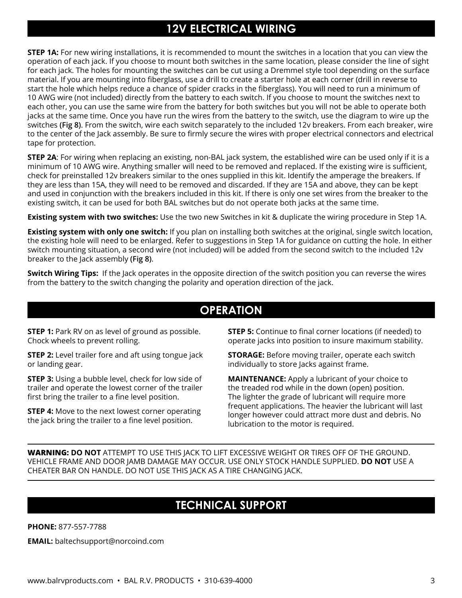## **12V ELECTRICAL WIRING**

**STEP 1A:** For new wiring installations, it is recommended to mount the switches in a location that you can view the operation of each jack. If you choose to mount both switches in the same location, please consider the line of sight for each jack. The holes for mounting the switches can be cut using a Dremmel style tool depending on the surface material. If you are mounting into fiberglass, use a drill to create a starter hole at each corner (drill in reverse to start the hole which helps reduce a chance of spider cracks in the fiberglass). You will need to run a minimum of 10 AWG wire (not included) directly from the battery to each switch. If you choose to mount the switches next to each other, you can use the same wire from the battery for both switches but you will not be able to operate both jacks at the same time. Once you have run the wires from the battery to the switch, use the diagram to wire up the switches **(Fig 8)**. From the switch, wire each switch separately to the included 12v breakers. From each breaker, wire to the center of the Jack assembly. Be sure to firmly secure the wires with proper electrical connectors and electrical tape for protection.

**STEP 2A**: For wiring when replacing an existing, non-BAL jack system, the established wire can be used only if it is a minimum of 10 AWG wire. Anything smaller will need to be removed and replaced. If the existing wire is sufficient, check for preinstalled 12v breakers similar to the ones supplied in this kit. Identify the amperage the breakers. If they are less than 15A, they will need to be removed and discarded. If they are 15A and above, they can be kept and used in conjunction with the breakers included in this kit. If there is only one set wires from the breaker to the existing switch, it can be used for both BAL switches but do not operate both jacks at the same time.

**Existing system with two switches:** Use the two new Switches in kit & duplicate the wiring procedure in Step 1A.

**Existing system with only one switch:** If you plan on installing both switches at the original, single switch location, the existing hole will need to be enlarged. Refer to suggestions in Step 1A for guidance on cutting the hole. In either switch mounting situation, a second wire (not included) will be added from the second switch to the included 12v breaker to the Jack assembly **(Fig 8)**.

**Switch Wiring Tips:** If the Jack operates in the opposite direction of the switch position you can reverse the wires from the battery to the switch changing the polarity and operation direction of the jack.

## **OPERATION**

**STEP 1:** Park RV on as level of ground as possible. Chock wheels to prevent rolling.

**STEP 2:** Level trailer fore and aft using tongue jack or landing gear.

**STEP 3:** Using a bubble level, check for low side of trailer and operate the lowest corner of the trailer first bring the trailer to a fine level position.

**STEP 4:** Move to the next lowest corner operating the jack bring the trailer to a fine level position.

**STEP 5:** Continue to final corner locations (if needed) to operate jacks into position to insure maximum stability.

**STORAGE:** Before moving trailer, operate each switch individually to store Jacks against frame.

**MAINTENANCE:** Apply a lubricant of your choice to the treaded rod while in the down (open) position. The lighter the grade of lubricant will require more frequent applications. The heavier the lubricant will last longer however could attract more dust and debris. No lubrication to the motor is required.

**WARNING: DO NOT** ATTEMPT TO USE THIS JACK TO LIFT EXCESSIVE WEIGHT OR TIRES OFF OF THE GROUND. VEHICLE FRAME AND DOOR JAMB DAMAGE MAY OCCUR. USE ONLY STOCK HANDLE SUPPLIED. **DO NOT** USE A CHEATER BAR ON HANDLE. DO NOT USE THIS JACK AS A TIRE CHANGING JACK.

## **TECHNICAL SUPPORT**

**PHONE:** 877-557-7788

**EMAIL:** baltechsupport@norcoind.com